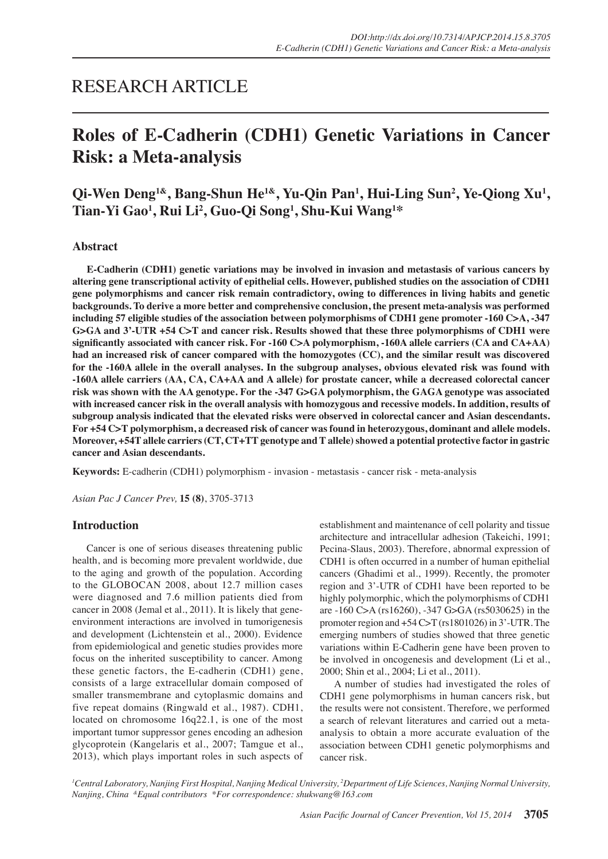## RESEARCH ARTICLE

# **Roles of E-Cadherin (CDH1) Genetic Variations in Cancer Risk: a Meta-analysis**

Qi-Wen Deng<sup>1&</sup>, Bang-Shun He<sup>1&</sup>, Yu-Qin Pan<sup>1</sup>, Hui-Ling Sun<sup>2</sup>, Ye-Qiong Xu<sup>1</sup>, **Tian-Yi Gao1 , Rui Li2 , Guo-Qi Song1 , Shu-Kui Wang1 \***

## **Abstract**

**E-Cadherin (CDH1) genetic variations may be involved in invasion and metastasis of various cancers by altering gene transcriptional activity of epithelial cells. However, published studies on the association of CDH1 gene polymorphisms and cancer risk remain contradictory, owing to differences in living habits and genetic backgrounds. To derive a more better and comprehensive conclusion, the present meta-analysis was performed including 57 eligible studies of the association between polymorphisms of CDH1 gene promoter -160 C>A, -347 G>GA and 3'-UTR +54 C>T and cancer risk. Results showed that these three polymorphisms of CDH1 were significantly associated with cancer risk. For -160 C>A polymorphism, -160A allele carriers (CA and CA+AA) had an increased risk of cancer compared with the homozygotes (CC), and the similar result was discovered for the -160A allele in the overall analyses. In the subgroup analyses, obvious elevated risk was found with -160A allele carriers (AA, CA, CA+AA and A allele) for prostate cancer, while a decreased colorectal cancer risk was shown with the AA genotype. For the -347 G>GA polymorphism, the GAGA genotype was associated with increased cancer risk in the overall analysis with homozygous and recessive models. In addition, results of subgroup analysis indicated that the elevated risks were observed in colorectal cancer and Asian descendants. For +54 C>T polymorphism, a decreased risk of cancer was found in heterozygous, dominant and allele models. Moreover, +54T allele carriers (CT, CT+TT genotype and T allele) showed a potential protective factor in gastric cancer and Asian descendants.** 

**Keywords:** E-cadherin (CDH1) polymorphism - invasion - metastasis - cancer risk - meta-analysis

*Asian Pac J Cancer Prev,* **15 (8)**, 3705-3713

## **Introduction**

Cancer is one of serious diseases threatening public health, and is becoming more prevalent worldwide, due to the aging and growth of the population. According to the GLOBOCAN 2008, about 12.7 million cases were diagnosed and 7.6 million patients died from cancer in 2008 (Jemal et al., 2011). It is likely that geneenvironment interactions are involved in tumorigenesis and development (Lichtenstein et al., 2000). Evidence from epidemiological and genetic studies provides more focus on the inherited susceptibility to cancer. Among these genetic factors, the E-cadherin (CDH1) gene, consists of a large extracellular domain composed of smaller transmembrane and cytoplasmic domains and five repeat domains (Ringwald et al., 1987). CDH1, located on chromosome 16q22.1, is one of the most important tumor suppressor genes encoding an adhesion glycoprotein (Kangelaris et al., 2007; Tamgue et al., 2013), which plays important roles in such aspects of establishment and maintenance of cell polarity and tissue architecture and intracellular adhesion (Takeichi, 1991; Pecina-Slaus, 2003). Therefore, abnormal expression of CDH1 is often occurred in a number of human epithelial cancers (Ghadimi et al., 1999). Recently, the promoter region and 3'-UTR of CDH1 have been reported to be highly polymorphic, which the polymorphisms of CDH1 are -160 C>A (rs16260), -347 G>GA (rs5030625) in the promoter region and +54 C>T (rs1801026) in 3'-UTR. The emerging numbers of studies showed that three genetic variations within E-Cadherin gene have been proven to be involved in oncogenesis and development (Li et al., 2000; Shin et al., 2004; Li et al., 2011).

A number of studies had investigated the roles of CDH1 gene polymorphisms in human cancers risk, but the results were not consistent. Therefore, we performed a search of relevant literatures and carried out a metaanalysis to obtain a more accurate evaluation of the association between CDH1 genetic polymorphisms and cancer risk.

*1 Central Laboratory, Nanjing First Hospital, Nanjing Medical University, 2 Department of Life Sciences, Nanjing Normal University, Nanjing, China &Equal contributors \*For correspondence: shukwang@163.com*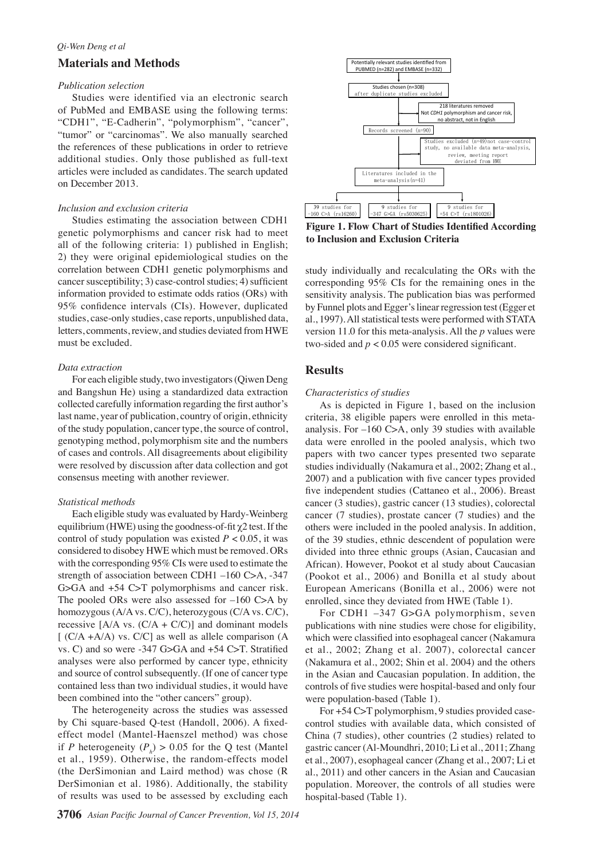## *Qi-Wen Deng et al*

## **Materials and Methods**

#### *Publication selection*

Studies were identified via an electronic search of PubMed and EMBASE using the following terms: "CDH1", "E-Cadherin", "polymorphism", "cancer", "tumor" or "carcinomas". We also manually searched the references of these publications in order to retrieve additional studies. Only those published as full-text articles were included as candidates. The search updated on December 2013.

#### *Inclusion and exclusion criteria*

Studies estimating the association between CDH1 genetic polymorphisms and cancer risk had to meet all of the following criteria: 1) published in English; 2) they were original epidemiological studies on the correlation between CDH1 genetic polymorphisms and cancer susceptibility; 3) case-control studies; 4) sufficient information provided to estimate odds ratios (ORs) with 95% confidence intervals (CIs). However, duplicated studies, case-only studies, case reports, unpublished data, letters, comments, review, and studies deviated from HWE must be excluded.

### *Data extraction*

For each eligible study, two investigators (Qiwen Deng and Bangshun He) using a standardized data extraction collected carefully information regarding the first author's last name, year of publication, country of origin, ethnicity of the study population, cancer type, the source of control, genotyping method, polymorphism site and the numbers of cases and controls. All disagreements about eligibility were resolved by discussion after data collection and got consensus meeting with another reviewer.

#### *Statistical methods*

Each eligible study was evaluated by Hardy-Weinberg equilibrium (HWE) using the goodness-of-fit  $\chi$ 2 test. If the control of study population was existed  $P < 0.05$ , it was considered to disobey HWE which must be removed. ORs with the corresponding 95% CIs were used to estimate the strength of association between CDH1 –160 C>A, -347 G>GA and +54 C>T polymorphisms and cancer risk. The pooled ORs were also assessed for –160 C>A by homozygous (A/A vs. C/C), heterozygous (C/A vs. C/C), recessive  $[A/A \text{ vs. } (C/A + C/C)]$  and dominant models  $[ (C/A + A/A)$  vs.  $C/C]$  as well as allele comparison  $(A$ vs. C) and so were -347 G>GA and +54 C>T. Stratified analyses were also performed by cancer type, ethnicity and source of control subsequently. (If one of cancer type contained less than two individual studies, it would have been combined into the "other cancers" group).

The heterogeneity across the studies was assessed by Chi square-based Q-test (Handoll, 2006). A fixedeffect model (Mantel-Haenszel method) was chose if *P* heterogeneity  $(P_h) > 0.05$  for the Q test (Mantel et al., 1959). Otherwise, the random-effects model (the DerSimonian and Laird method) was chose (R DerSimonian et al. 1986). Additionally, the stability of results was used to be assessed by excluding each



**Figure 1. Flow Chart of Studies Identified According to Inclusion and Exclusion Criteria**

study individually and recalculating the ORs with the corresponding 95% CIs for the remaining ones in the sensitivity analysis. The publication bias was performed by Funnel plots and Egger's linear regression test (Egger et al., 1997). All statistical tests were performed with STATA version 11.0 for this meta-analysis. All the *p* values were two-sided and  $p < 0.05$  were considered significant.

## **Results**

#### *Characteristics of studies*

As is depicted in Figure 1, based on the inclusion criteria, 38 eligible papers were enrolled in this metaanalysis. For –160 C>A, only 39 studies with available data were enrolled in the pooled analysis, which two papers with two cancer types presented two separate studies individually (Nakamura et al., 2002; Zhang et al., 2007) and a publication with five cancer types provided five independent studies (Cattaneo et al., 2006). Breast cancer (3 studies), gastric cancer (13 studies), colorectal cancer (7 studies), prostate cancer (7 studies) and the others were included in the pooled analysis. In addition, of the 39 studies, ethnic descendent of population were divided into three ethnic groups (Asian, Caucasian and African). However, Pookot et al study about Caucasian (Pookot et al., 2006) and Bonilla et al study about European Americans (Bonilla et al., 2006) were not enrolled, since they deviated from HWE (Table 1).

For CDH1 –347 G>GA polymorphism, seven publications with nine studies were chose for eligibility, which were classified into esophageal cancer (Nakamura et al., 2002; Zhang et al. 2007), colorectal cancer (Nakamura et al., 2002; Shin et al. 2004) and the others in the Asian and Caucasian population. In addition, the controls of five studies were hospital-based and only four were population-based (Table 1).

For +54 C>T polymorphism, 9 studies provided casecontrol studies with available data, which consisted of China (7 studies), other countries (2 studies) related to gastric cancer (Al-Moundhri, 2010; Li et al., 2011; Zhang et al., 2007), esophageal cancer (Zhang et al., 2007; Li et al., 2011) and other cancers in the Asian and Caucasian population. Moreover, the controls of all studies were hospital-based (Table 1).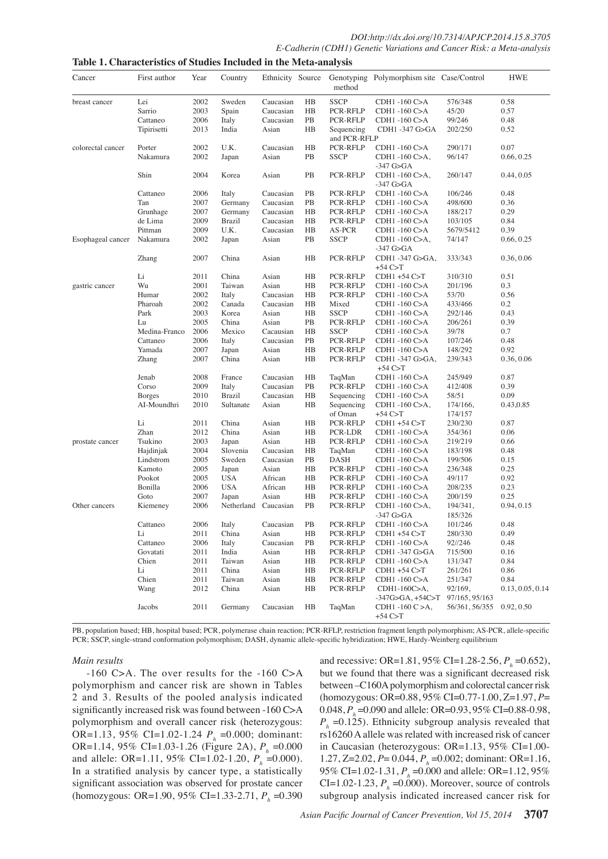| Cancer            | First author  | Year | Country         | Ethnicity Source |                | method                     | Genotyping Polymorphism site Case/Control                 |                                  | <b>HWE</b>       |
|-------------------|---------------|------|-----------------|------------------|----------------|----------------------------|-----------------------------------------------------------|----------------------------------|------------------|
| breast cancer     | Lei           | 2002 | Sweden          | Caucasian        | HB             | <b>SSCP</b>                | CDH1-160 C>A                                              | 576/348                          | 0.58             |
|                   | Sarrio        | 2003 | Spain           | Caucasian        | HB             | PCR-RFLP                   | CDH1 -160 C>A                                             | 45/20                            | 0.57             |
|                   | Cattaneo      | 2006 | Italy           | Caucasian        | PB             | PCR-RFLP                   | CDH1 -160 C>A                                             | 99/246                           | 0.48             |
|                   | Tipirisetti   | 2013 | India           | Asian            | HB             | Sequencing<br>and PCR-RFLP | CDH1 -347 G>GA                                            | 202/250                          | 0.52             |
| colorectal cancer | Porter        | 2002 | U.K.            | Caucasian        | HB             | PCR-RFLP                   | CDH1 -160 C>A                                             | 290/171                          | 0.07             |
|                   | Nakamura      | 2002 | Japan           | Asian            | PB             | <b>SSCP</b>                | CDH1 -160 C>A,<br>-347 G>GA                               | 96/147                           | 0.66, 0.25       |
|                   | Shin          | 2004 | Korea           | Asian            | PB             | PCR-RFLP                   | CDH1 -160 C>A,<br>-347 G>GA                               | 260/147                          | 0.44, 0.05       |
|                   | Cattaneo      | 2006 | Italy           | Caucasian        | PB             | PCR-RFLP                   | CDH1 -160 C>A                                             | 106/246                          | 0.48             |
|                   | Tan           | 2007 | Germany         | Caucasian        | PB             | PCR-RFLP                   | CDH1 -160 C>A                                             | 498/600                          | 0.36             |
|                   | Grunhage      | 2007 | Germany         | Caucasian        | HB             | PCR-RFLP                   | CDH1 -160 C>A                                             | 188/217                          | 0.29             |
|                   | de Lima       | 2009 | <b>Brazil</b>   | Caucasian        | HB             | PCR-RFLP                   | CDH1 -160 C>A                                             | 103/105                          | 0.84             |
|                   | Pittman       | 2009 | U.K.            | Caucasian        | HB             | AS-PCR                     | CDH1 -160 C>A                                             | 5679/5412                        | 0.39             |
| Esophageal cancer | Nakamura      | 2002 | Japan           | Asian            | PB             | <b>SSCP</b>                | CDH1-160 C>A,<br>-347 G>GA                                | 74/147                           | 0.66, 0.25       |
|                   | Zhang         | 2007 | China           | Asian            | HB             | PCR-RFLP                   | CDH1-347 G>GA,<br>$+54$ C>T                               | 333/343                          | 0.36, 0.06       |
|                   | Li            | 2011 | China           | Asian            | HB             | PCR-RFLP                   | $CDH1 + 54 C > T$                                         | 310/310                          | 0.51             |
| gastric cancer    | Wu            | 2001 | Taiwan          | Asian            | HB             | PCR-RFLP                   | CDH1 -160 C>A                                             | 201/196                          | 0.3              |
|                   | Humar         | 2002 | Italy           | Caucasian        | HB             | PCR-RFLP                   | CDH1-160 C>A                                              | 53/70                            | 0.56             |
|                   | Pharoah       | 2002 | Canada          | Caucasian        | HB             | Mixed                      | CDH1-160 C>A                                              | 433/466                          | 0.2              |
|                   | Park          | 2003 | Korea           | Asian            | HB             | <b>SSCP</b>                | CDH1 -160 C>A                                             | 292/146                          | 0.43             |
|                   | Lu            | 2005 | China           | Asian            | PB             | PCR-RFLP                   | CDH1 -160 C>A                                             | 206/261                          | 0.39             |
|                   | Medina-Franco | 2006 | Mexico          | Cacausian        | H <sub>B</sub> | <b>SSCP</b>                | CDH1 -160 C>A                                             | 39/78                            | 0.7              |
|                   | Cattaneo      | 2006 | Italy           | Caucasian        | PB             | PCR-RFLP                   | CDH1 -160 C>A                                             | 107/246                          | 0.48             |
|                   | Yamada        | 2007 | Japan           | Asian            | HB             | PCR-RFLP                   | CDH1 -160 C>A                                             | 148/292                          | 0.92             |
|                   | Zhang         | 2007 | China           | Asian            | HB             | PCR-RFLP                   | CDH1 -347 G>GA,<br>$+54$ C $>$ T                          | 239/343                          | 0.36, 0.06       |
|                   | Jenab         | 2008 | France          | Caucasian        | HB             | TaqMan                     | CDH1 -160 C>A                                             | 245/949                          | 0.87             |
|                   | Corso         | 2009 | Italy           | Caucasian        | PB             | PCR-RFLP                   | CDH1 -160 C>A                                             | 412/408                          | 0.39             |
|                   | <b>Borges</b> | 2010 | <b>Brazil</b>   | Caucasian        | HB             | Sequencing                 | CDH1 -160 C>A                                             | 58/51                            | 0.09             |
|                   | AI-Moundhri   | 2010 | Sultanate       | Asian            | HB             | Sequencing<br>of Oman      | CDH1 -160 C>A,<br>$+54$ C>T                               | 174/166,<br>174/157              | 0.43,0.85        |
|                   | Li            | 2011 | China           | Asian            | HB             | PCR-RFLP                   | $CDH1 + 54 C > T$                                         | 230/230                          | 0.87             |
|                   | Zhan          | 2012 | China           | Asian            | HB             | PCR-LDR                    | CDH1 -160 C>A                                             | 354/361                          | 0.06             |
| prostate cancer   | Tsukino       | 2003 | Japan           | Asian            | HB             | PCR-RFLP                   | CDH1 -160 C>A                                             | 219/219                          | 0.66             |
|                   | Hajdinjak     | 2004 | Slovenia        | Caucasian        | HB             | TaqMan                     | CDH1 -160 C>A                                             | 183/198                          | 0.48             |
|                   | Lindstrom     | 2005 | Sweden          | Caucasian        | PB             | <b>DASH</b>                | CDH1 -160 C>A                                             | 199/506                          | 0.15             |
|                   | Kamoto        | 2005 | Japan           | Asian            | HB             | PCR-RFLP                   | CDH1 -160 C>A                                             | 236/348                          | 0.25             |
|                   | Pookot        | 2005 | <b>USA</b>      | African          | HB             | PCR-RFLP                   | CDH1-160 C>A                                              | 49/117                           | 0.92             |
|                   | Bonilla       | 2006 | <b>USA</b>      | African          | HB             | PCR-RFLP                   | CDH1 -160 C>A                                             | 208/235                          | 0.23             |
|                   | Goto          | 2007 | Japan           | Asian            | HB             | PCR-RFLP                   | CDH1 -160 C>A                                             | 200/159                          | 0.25             |
| Other cancers     | Kiemeney      | 2006 | Netherland      | Caucasian        | PB             | PCR-RFLP                   | CDH1 -160 C>A,<br>-347 G>GA                               | 194/341,<br>185/326              | 0.94, 0.15       |
|                   | Cattaneo      | 2006 | Italy           | Caucasian        | <b>PB</b>      | PCR-RFLP                   | CDH1 -160 C>A                                             | 101/246                          | 0.48             |
|                   | Li            | 2011 | China           | Asian            | HB             | PCR-RFLP                   | $CDH1 + 54 C > T$                                         | 280/330                          | 0.49             |
|                   | Cattaneo      | 2006 | Italy           | Caucasian        | PB             | PCR-RFLP                   | CDH1 -160 C>A                                             | 92//246                          | 0.48             |
|                   | Govatati      | 2011 | India           | Asian            | HB             | PCR-RFLP                   | CDH1 -347 G>GA                                            | 715/500                          | 0.16             |
|                   | Chien         | 2011 | Taiwan          | Asian            | HB             | PCR-RFLP                   | CDH1-160 C>A                                              | 131/347                          | 0.84             |
|                   | Li            | 2011 | China           | Asian            | HB             | PCR-RFLP                   | CDH1 +54 C>T                                              | 261/261                          | 0.86             |
|                   | Chien         | 2011 |                 |                  |                | PCR-RFLP                   |                                                           |                                  | 0.84             |
|                   | Wang          | 2012 | Taiwan<br>China | Asian<br>Asian   | HB<br>HB       | PCR-RFLP                   | CDH1 -160 C>A<br>CDH1-160C>A,                             | 251/347<br>92/169,               | 0.13, 0.05, 0.14 |
|                   | Jacobs        | 2011 | Germany         | Caucasian        | HB             | TaqMan                     | $-347G > GA, +54C > T$<br>$CDH1 - 160 C > A$ ,<br>+54 C>T | 97/165, 95/163<br>56/361, 56/355 | 0.92, 0.50       |

**Table 1. Characteristics of Studies Included in the Meta-analysis**

PB, population based; HB, hospital based; PCR, polymerase chain reaction; PCR-RFLP, restriction fragment length polymorphism; AS-PCR, allele-specific PCR; SSCP, single-strand conformation polymorphism; DASH, dynamic allele-specific hybridization; HWE, Hardy-Weinberg equilibrium

## *Main results*

-160 C>A. The over results for the -160 C>A polymorphism and cancer risk are shown in Tables 2 and 3. Results of the pooled analysis indicated significantly increased risk was found between -160 C>A polymorphism and overall cancer risk (heterozygous: OR=1.13, 95% CI=1.02-1.24  $P<sub>h</sub>$  =0.000; dominant: OR=1.14, 95% CI=1.03-1.26 (Figure 2A),  $P_h$  =0.000 and allele: OR=1.11, 95% CI=1.02-1.20,  $P_h$  =0.000). In a stratified analysis by cancer type, a statistically significant association was observed for prostate cancer (homozygous: OR=1.90, 95% CI=1.33-2.71, *P<sub>h</sub>*=0.390

and recessive: OR=1.81, 95% CI=1.28-2.56,  $P_h$  =0.652), but we found that there was a significant decreased risk between –C160A polymorphism and colorectal cancer risk (homozygous: OR=0.88, 95% CI=0.77-1.00, Z=1.97, *P*= 0.048, *P<sub>h</sub>*=0.090 and allele: OR=0.93, 95% CI=0.88-0.98,  $P_h$  =0.125). Ethnicity subgroup analysis revealed that rs16260 A allele was related with increased risk of cancer in Caucasian (heterozygous: OR=1.13, 95% CI=1.00- 1.27, Z=2.02, *P*= 0.044, *Ph* =0.002; dominant: OR=1.16, 95% CI=1.02-1.31, *P<sub>h</sub>*=0.000 and allele: OR=1.12, 95%  $CI = 1.02 - 1.23$ ,  $P<sub>h</sub> = 0.000$ ). Moreover, source of controls subgroup analysis indicated increased cancer risk for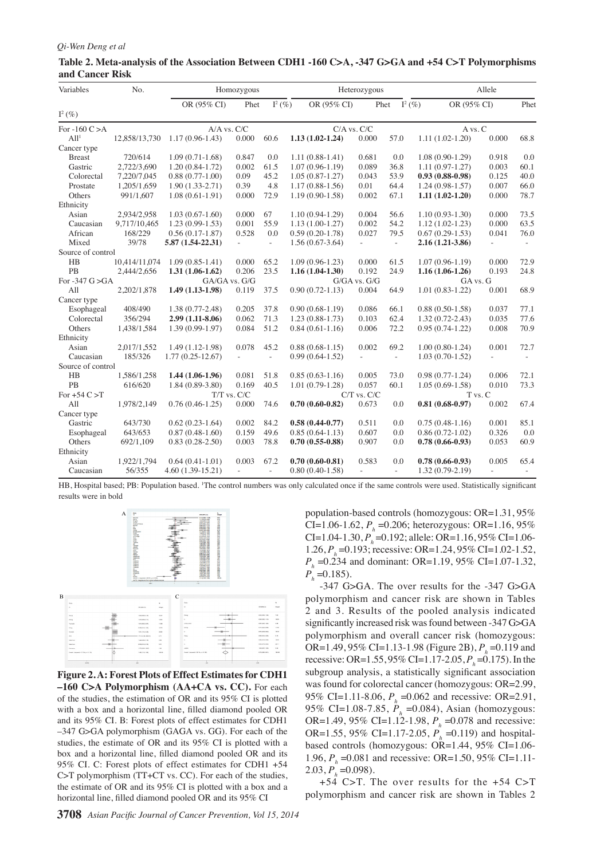#### *Qi-Wen Deng et al*

| Table 2. Meta-analysis of the Association Between CDH1 -160 C>A, -347 G>GA and +54 C>T Polymorphisms |  |
|------------------------------------------------------------------------------------------------------|--|
| and Cancer Risk                                                                                      |  |

| Variables          | No.           |                     | Homozygous      |                          | Heterozygous        |                     | Allele   |                          |                |                          |
|--------------------|---------------|---------------------|-----------------|--------------------------|---------------------|---------------------|----------|--------------------------|----------------|--------------------------|
|                    |               | OR (95% CI)         | Phet            | $I^2(\%)$                | OR (95% CI)         |                     | Phet     | OR (95% CI)<br>$I^2(\%)$ |                | Phet                     |
| $I^2(\%)$          |               |                     |                 |                          |                     |                     |          |                          |                |                          |
| For $-160$ C $> A$ |               | $A/A$ vs. $C/C$     |                 |                          |                     | $C/A$ vs. $C/C$     |          | A vs. C                  |                |                          |
| All <sup>1</sup>   | 12,858/13,730 | $1.17(0.96 - 1.43)$ | 0.000           | 60.6                     | $1.13(1.02 - 1.24)$ | 0.000               | 57.0     | $1.11(1.02-1.20)$        | 0.000          | 68.8                     |
| Cancer type        |               |                     |                 |                          |                     |                     |          |                          |                |                          |
| <b>Breast</b>      | 720/614       | $1.09(0.71-1.68)$   | 0.847           | 0.0                      | $1.11(0.88-1.41)$   | 0.681               | 0.0      | $1.08(0.90-1.29)$        | 0.918          | 0.0                      |
| Gastric            | 2,722/3,690   | $1.20(0.84-1.72)$   | 0.002           | 61.5                     | $1.07(0.96 - 1.19)$ | 0.089               | 36.8     | $1.11(0.97-1.27)$        | 0.003          | 60.1                     |
| Colorectal         | 7,220/7,045   | $0.88(0.77-1.00)$   | 0.09            | 45.2                     | $1.05(0.87-1.27)$   | 0.043               | 53.9     | $0.93(0.88 - 0.98)$      | 0.125          | 40.0                     |
| Prostate           | 1,205/1,659   | $1.90(1.33-2.71)$   | 0.39            | 4.8                      | $1.17(0.88 - 1.56)$ | 0.01                | 64.4     | $1.24(0.98-1.57)$        | 0.007          | 66.0                     |
| Others             | 991/1,607     | $1.08(0.61-1.91)$   | 0.000           | 72.9                     | $1.19(0.90 - 1.58)$ | 0.002               | 67.1     | $1.11(1.02-1.20)$        | 0.000          | 78.7                     |
| Ethnicity          |               |                     |                 |                          |                     |                     |          |                          |                |                          |
| Asian              | 2,934/2,958   | $1.03(0.67-1.60)$   | 0.000           | 67                       | $1.10(0.94-1.29)$   | 0.004               | 56.6     | $1.10(0.93 - 1.30)$      | 0.000          | 73.5                     |
| Caucasian          | 9,717/10,465  | $1.23(0.99-1.53)$   | 0.001           | 55.9                     | $1.13(1.00-1.27)$   | 0.002               | 54.2     | $1.12(1.02 - 1.23)$      | 0.000          | 63.5                     |
| African            | 168/229       | $0.56(0.17-1.87)$   | 0.528           | 0.0                      | $0.59(0.20-1.78)$   | 0.027               | 79.5     | $0.67(0.29-1.53)$        | 0.041          | 76.0                     |
| Mixed              | 39/78         | $5.87(1.54-22.31)$  | $\omega$        | $\overline{\phantom{a}}$ | $1.56(0.67-3.64)$   | $\bar{\phantom{a}}$ | $\omega$ | 2.16 (1.21-3.86)         | $\overline{a}$ | $\sim$ .                 |
| Source of control  |               |                     |                 |                          |                     |                     |          |                          |                |                          |
| H <sub>B</sub>     | 10,414/11,074 | $1.09(0.85-1.41)$   | 0.000           | 65.2                     | $1.09(0.96 - 1.23)$ | 0.000               | 61.5     | $1.07(0.96 - 1.19)$      | 0.000          | 72.9                     |
| PB                 | 2,444/2,656   | $1.31(1.06-1.62)$   | 0.206           | 23.5                     | $1.16(1.04-1.30)$   | 0.192               | 24.9     | $1.16(1.06-1.26)$        | 0.193          | 24.8                     |
| For -347 $G > GA$  |               |                     | GA/GA vs. G/G   |                          | G/GA vs. G/G        |                     |          |                          | GA vs. G       |                          |
| All                | 2,202/1,878   | $1.49(1.13-1.98)$   | 0.119           | 37.5                     | $0.90(0.72 - 1.13)$ | 0.004               | 64.9     | $1.01(0.83-1.22)$        | 0.001          | 68.9                     |
| Cancer type        |               |                     |                 |                          |                     |                     |          |                          |                |                          |
| Esophageal         | 408/490       | $1.38(0.77-2.48)$   | 0.205           | 37.8                     | $0.90(0.68-1.19)$   | 0.086               | 66.1     | $0.88(0.50-1.58)$        | 0.037          | 77.1                     |
| Colorectal         | 356/294       | 2.99 (1.11-8.06)    | 0.062           | 71.3                     | $1.23(0.88-1.73)$   | 0.103               | 62.4     | $1.32(0.72 - 2.43)$      | 0.035          | 77.6                     |
| Others             | 1,438/1,584   | $1.39(0.99-1.97)$   | 0.084           | 51.2                     | $0.84(0.61-1.16)$   | 0.006               | 72.2     | $0.95(0.74-1.22)$        | $0.008\,$      | 70.9                     |
| Ethnicity          |               |                     |                 |                          |                     |                     |          |                          |                |                          |
| Asian              | 2,017/1,552   | $1.49(1.12-1.98)$   | 0.078           | 45.2                     | $0.88(0.68-1.15)$   | 0.002               | 69.2     | $1.00(0.80-1.24)$        | 0.001          | 72.7                     |
| Caucasian          | 185/326       | $1.77(0.25-12.67)$  |                 |                          | $0.99(0.64-1.52)$   |                     |          | $1.03(0.70-1.52)$        |                | $\overline{\phantom{a}}$ |
| Source of control  |               |                     |                 |                          |                     |                     |          |                          |                |                          |
| HB                 | 1,586/1,258   | $1.44(1.06-1.96)$   | 0.081           | 51.8                     | $0.85(0.63 - 1.16)$ | 0.005               | 73.0     | $0.98(0.77-1.24)$        | 0.006          | 72.1                     |
| PB                 | 616/620       | $1.84(0.89-3.80)$   | 0.169           | 40.5                     | $1.01(0.79-1.28)$   | 0.057               | 60.1     | $1.05(0.69-1.58)$        | 0.010          | 73.3                     |
| For $+54$ C $>$ T  |               |                     | $T/T$ vs. $C/C$ |                          |                     | C/T vs. C/C         |          | T vs. C                  |                |                          |
| All                | 1,978/2,149   | $0.76(0.46 - 1.25)$ | 0.000           | 74.6                     | $0.70(0.60-0.82)$   | 0.673               | 0.0      | $0.81(0.68-0.97)$        | 0.002          | 67.4                     |
| Cancer type        |               |                     |                 |                          |                     |                     |          |                          |                |                          |
| Gastric            | 643/730       | $0.62(0.23-1.64)$   | 0.002           | 84.2                     | $0.58(0.44 - 0.77)$ | 0.511               | 0.0      | $0.75(0.48-1.16)$        | 0.001          | 85.1                     |
| Esophageal         | 643/653       | $0.87(0.48-1.60)$   | 0.159           | 49.6                     | $0.85(0.64-1.13)$   | 0.607               | 0.0      | $0.86(0.72 - 1.02)$      | 0.326          | 0.0                      |
| Others             | 692/1,109     | $0.83(0.28-2.50)$   | 0.003           | 78.8                     | $0.70(0.55-0.88)$   | 0.907               | 0.0      | $0.78(0.66-0.93)$        | 0.053          | 60.9                     |
| Ethnicity          |               |                     |                 |                          |                     |                     |          |                          |                |                          |
| Asian              | 1,922/1,794   | $0.64(0.41-1.01)$   | 0.003           | 67.2                     | $0.70(0.60 - 0.81)$ | 0.583               | 0.0      | $0.78(0.66-0.93)$        | 0.005          | 65.4                     |
| Caucasian          | 56/355        | $4.60(1.39-15.21)$  | ÷.              | ä,                       | $0.80(0.40-1.58)$   | ÷.                  | ÷.       | $1.32(0.79-2.19)$        | ÷.             |                          |
|                    |               |                     |                 |                          |                     |                     |          |                          |                |                          |

HB, Hospital based; PB: Population based. 'The control numbers was only calculated once if the same controls were used. Statistically significant results were in bold





population-based controls (homozygous: OR=1.31, 95% CI=1.06-1.62, *P<sub>h</sub>*=0.206; heterozygous: OR=1.16, 95% CI=1.04-1.30, *P<sub>h</sub>*=0.192; allele: OR=1.16, 95% CI=1.06-1.26, *P<sub>h</sub>*=0.193; recessive: OR=1.24, 95% CI=1.02-1.52, *P<sub>h</sub>* =0.234 and dominant: OR=1.19, 95% CI=1.07-1.32,  $P_h$  =0.185).

**Opolymorphism** recessive: OR=1.55, 95% CI=1.17-2.05, *P*<sub>1</sub><br>75.0 whereup analysis a statistically significant 00.0 Bullet of risk was found between -347 G>GA  $\left| \frac{P}{25!0} \right| = 0.175$ . In the  $\left| \frac{30.0}{100} \right|$ polymorphism and overall cancer risk (homozygous:<br>OR-1 **10.35**% (11-113-1 980-3que OR) PL-0 119 and  $\begin{bmatrix} 1.31.3 \\ -0.078 \end{bmatrix}$  and recessive: **30.0 54.2** was found for colorecta **25.0 27.6 33.1 31.3 30.0 23.7**  $\frac{1.90}{2.03}, P_h^{\frac{1.00}{3}}(3098)$ . -347 G>GA. The over results for the -347 G>GA polymorphism and cancer risk are shown in Tables 2 and 3. Results of the pooled analysis indicated OR=1.49, 95% CI=1.13-1.98 (Figure 2B), *Ph* -1.989 3 and  $(2B), P$  = 0.119 and subgroup analysis, a statistically significant association  $cancer (homozveous: OR=2.99)$ , 95% CI**<sup>56</sup>.3**1-8.06, *P<sub>h</sub>*<br>95% CI=1.08-7.85, *P*  =0.062 and recessive: OR=2.91,  $=0.$ **5842**, Asian (homozygous: OR=1.49, 95% CI=1.12-1.98, *P<sub>p</sub>*<br>OR=1.55, 95% CI=1.17-2.05, *P* OR=1.55, 95% CI=1.17-2.05,  $P_h$ <br>based controls (homozygous: OR  $=0.119$ ) and hospital $b=1$ ,  $\overline{44}$ , 95% CI=1.06- $\eta$ <sub>1.96, *F*</sub>  $=0.081$  and  $r_6$  css ve: OR=1.50, 95% CI=1.11- $+54$  C>T. The over results for the  $+54$  C>T and cancer risk are shown in Tables 2

Persistence or recurrence

 $\overline{5}$  $\tilde{0}$ 

recurrence

Remission

Remission

hout treatment

nout treatment

with treatment

with 1

treatment



None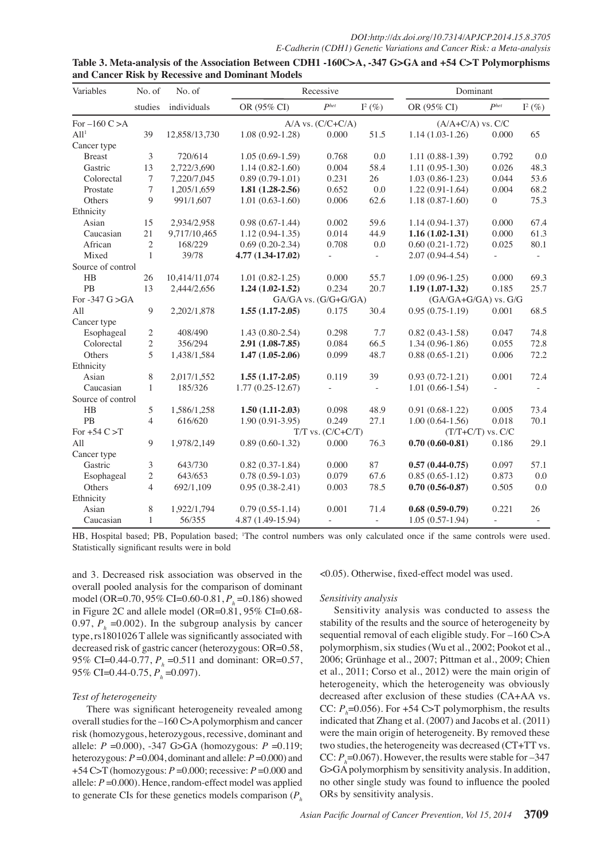| Variables          | No. of         | No. of        |                      | Recessive                | Dominant                 |                       |                          |           |
|--------------------|----------------|---------------|----------------------|--------------------------|--------------------------|-----------------------|--------------------------|-----------|
|                    | studies        | individuals   | OR (95% CI)          | P <sup>het</sup>         | $I^2(\%)$                | OR (95% CI)           | P <sup>het</sup>         | $I^2(\%)$ |
| For $-160$ C $> A$ |                |               |                      | $A/A$ vs. $(C/C+C/A)$    |                          | $(A/A+C/A)$ vs. $C/C$ |                          |           |
| All <sup>1</sup>   | 39             | 12,858/13,730 | $1.08(0.92 - 1.28)$  | 0.000                    | 51.5                     | $1.14(1.03-1.26)$     | 0.000                    | 65        |
| Cancer type        |                |               |                      |                          |                          |                       |                          |           |
| <b>Breast</b>      | 3              | 720/614       | $1.05(0.69-1.59)$    | 0.768                    | $0.0\,$                  | $1.11(0.88-1.39)$     | 0.792                    | 0.0       |
| Gastric            | 13             | 2,722/3,690   | $1.14(0.82 - 1.60)$  | 0.004                    | 58.4                     | $1.11(0.95-1.30)$     | 0.026                    | 48.3      |
| Colorectal         | 7              | 7,220/7,045   | $0.89(0.79-1.01)$    | 0.231                    | 26                       | $1.03(0.86-1.23)$     | 0.044                    | 53.6      |
| Prostate           | 7              | 1,205/1,659   | $1.81(1.28-2.56)$    | 0.652                    | $0.0\,$                  | $1.22(0.91-1.64)$     | 0.004                    | 68.2      |
| Others             | 9              | 991/1,607     | $1.01(0.63-1.60)$    | 0.006                    | 62.6                     | $1.18(0.87-1.60)$     | $\overline{0}$           | 75.3      |
| Ethnicity          |                |               |                      |                          |                          |                       |                          |           |
| Asian              | 15             | 2,934/2,958   | $0.98(0.67-1.44)$    | 0.002                    | 59.6                     | $1.14(0.94-1.37)$     | 0.000                    | 67.4      |
| Caucasian          | 21             | 9,717/10,465  | $1.12(0.94-1.35)$    | 0.014                    | 44.9                     | $1.16(1.02-1.31)$     | 0.000                    | 61.3      |
| African            | $\mathfrak{2}$ | 168/229       | $0.69(0.20-2.34)$    | 0.708                    | 0.0                      | $0.60(0.21-1.72)$     | 0.025                    | 80.1      |
| Mixed              | $\mathbf{1}$   | 39/78         | 4.77 (1.34-17.02)    | $\overline{\phantom{a}}$ |                          | $2.07(0.94 - 4.54)$   | $\overline{\phantom{a}}$ | $\omega$  |
| Source of control  |                |               |                      |                          |                          |                       |                          |           |
| HB                 | 26             | 10,414/11,074 | $1.01(0.82 - 1.25)$  | 0.000                    | 55.7                     | $1.09(0.96-1.25)$     | 0.000                    | 69.3      |
| PB                 | 13             | 2,444/2,656   | $1.24(1.02 - 1.52)$  | 0.234                    | 20.7                     | $1.19(1.07-1.32)$     | 0.185                    | 25.7      |
| For $-347$ G $>GA$ |                |               | GA/GA vs. (G/G+G/GA) |                          |                          | (GA/GA+G/GA) vs. G/G  |                          |           |
| All                | 9              | 2,202/1,878   | $1.55(1.17-2.05)$    | 0.175                    | 30.4                     | $0.95(0.75-1.19)$     | 0.001                    | 68.5      |
| Cancer type        |                |               |                      |                          |                          |                       |                          |           |
| Esophageal         | 2              | 408/490       | $1.43(0.80-2.54)$    | 0.298                    | 7.7                      | $0.82(0.43-1.58)$     | 0.047                    | 74.8      |
| Colorectal         | $\overline{c}$ | 356/294       | 2.91 (1.08-7.85)     | 0.084                    | 66.5                     | $1.34(0.96-1.86)$     | 0.055                    | 72.8      |
| Others             | 5              | 1,438/1,584   | $1.47(1.05-2.06)$    | 0.099                    | 48.7                     | $0.88(0.65-1.21)$     | 0.006                    | 72.2      |
| Ethnicity          |                |               |                      |                          |                          |                       |                          |           |
| Asian              | 8              | 2,017/1,552   | $1.55(1.17-2.05)$    | 0.119                    | 39                       | $0.93(0.72 - 1.21)$   | 0.001                    | 72.4      |
| Caucasian          | $\mathbf{1}$   | 185/326       | $1.77(0.25-12.67)$   |                          |                          | $1.01(0.66-1.54)$     | $\overline{\phantom{a}}$ | $\sim$    |
| Source of control  |                |               |                      |                          |                          |                       |                          |           |
| H B                | 5              | 1,586/1,258   | $1.50(1.11-2.03)$    | 0.098                    | 48.9                     | $0.91(0.68-1.22)$     | 0.005                    | 73.4      |
| PB                 | $\overline{4}$ | 616/620       | $1.90(0.91-3.95)$    | 0.249                    | 27.1                     | $1.00(0.64-1.56)$     | 0.018                    | 70.1      |
| For $+54$ C $>$ T  |                |               |                      | $T/T$ vs. $(C/C+C/T)$    |                          |                       | $(T/T+C/T)$ vs. $C/C$    |           |
| All                | 9              | 1,978/2,149   | $0.89(0.60-1.32)$    | 0.000                    | 76.3                     | $0.70(0.60 - 0.81)$   | 0.186                    | 29.1      |
| Cancer type        |                |               |                      |                          |                          |                       |                          |           |
| Gastric            | 3              | 643/730       | $0.82(0.37-1.84)$    | 0.000                    | 87                       | $0.57(0.44-0.75)$     | 0.097                    | 57.1      |
| Esophageal         | 2              | 643/653       | $0.78(0.59-1.03)$    | 0.079                    | 67.6                     | $0.85(0.65-1.12)$     | 0.873                    | 0.0       |
| Others             | $\overline{4}$ | 692/1,109     | $0.95(0.38-2.41)$    | 0.003                    | 78.5                     | $0.70(0.56-0.87)$     | 0.505                    | 0.0       |
| Ethnicity          |                |               |                      |                          |                          |                       |                          |           |
| Asian              | 8              | 1,922/1,794   | $0.79(0.55-1.14)$    | 0.001                    | 71.4                     | $0.68(0.59-0.79)$     | 0.221                    | 26        |
| Caucasian          | $\mathbf{1}$   | 56/355        | 4.87 (1.49-15.94)    | $\overline{\phantom{a}}$ | $\overline{\phantom{a}}$ | $1.05(0.57-1.94)$     | $\overline{a}$           |           |

| Table 3. Meta-analysis of the Association Between CDH1 -160C>A, -347 G>GA and +54 C>T Polymorphisms |  |
|-----------------------------------------------------------------------------------------------------|--|
| and Cancer Risk by Recessive and Dominant Models                                                    |  |

and 3. Decreased risk association was observed in the overall pooled analysis for the comparison of dominant model (OR=0.70, 95% CI=0.60-0.81, *Ph* =0.186) showed in Figure 2C and allele model (OR=0.81, 95% CI=0.68- 0.97,  $P_h$  =0.002). In the subgroup analysis by cancer type, rs1801026 T allele was significantly associated with decreased risk of gastric cancer (heterozygous: OR=0.58, 95% CI=0.44-0.77, *P<sub>h</sub>* = 0.511 and dominant: OR=0.57, 95% CI=0.44-0.75,  $P_h$  =0.097).

## *Test of heterogeneity*

There was significant heterogeneity revealed among overall studies for the –160 C>A polymorphism and cancer risk (homozygous, heterozygous, recessive, dominant and allele: *P* =0.000), -347 G>GA (homozygous: *P* =0.119; heterozygous: *P* =0.004, dominant and allele: *P* =0.000) and +54 C>T (homozygous: *P* =0.000; recessive: *P* =0.000 and allele:  $P = 0.000$ . Hence, random-effect model was applied to generate CIs for these genetics models comparison (*Ph*

<0.05). Otherwise, fixed-effect model was used.

## *Sensitivity analysis*

Sensitivity analysis was conducted to assess the stability of the results and the source of heterogeneity by sequential removal of each eligible study. For –160 C>A polymorphism, six studies (Wu et al., 2002; Pookot et al., 2006; Grünhage et al., 2007; Pittman et al., 2009; Chien et al., 2011; Corso et al., 2012) were the main origin of heterogeneity, which the heterogeneity was obviously decreased after exclusion of these studies (CA+AA vs. CC:  $P_h$ =0.056). For +54 C>T polymorphism, the results indicated that Zhang et al. (2007) and Jacobs et al. (2011) were the main origin of heterogeneity. By removed these two studies, the heterogeneity was decreased (CT+TT vs. CC:  $P_h$ =0.067). However, the results were stable for –347 G>GA polymorphism by sensitivity analysis. In addition, no other single study was found to influence the pooled ORs by sensitivity analysis.

HB, Hospital based; PB, Population based; 1 The control numbers was only calculated once if the same controls were used. Statistically significant results were in bold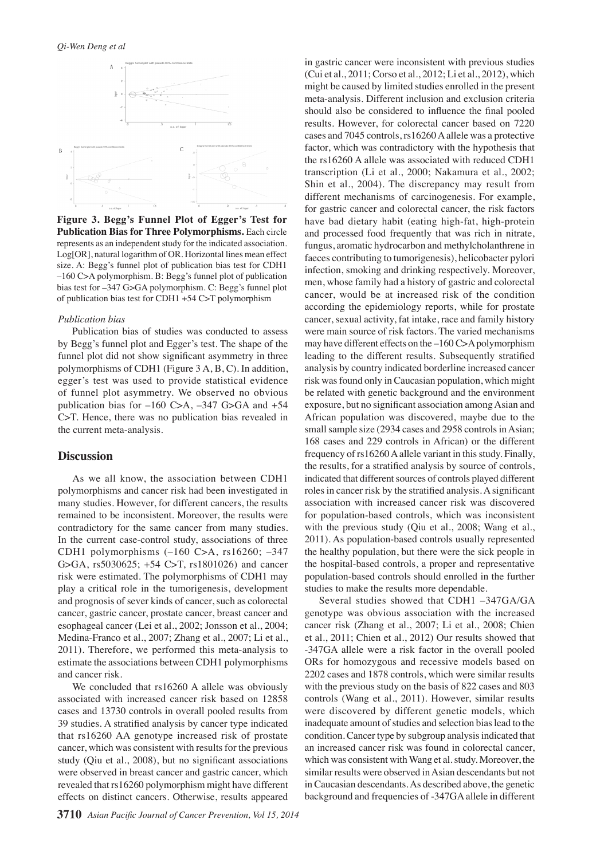

**Figure 3. Begg's Funnel Plot of Egger's Test for Publication Bias for Three Polymorphisms.** Each circle represents as an independent study for the indicated association. Log[OR], natural logarithm of OR. Horizontal lines mean effect size. A: Begg's funnel plot of publication bias test for CDH1 –160 C>A polymorphism. B: Begg's funnel plot of publication bias test for –347 G>GA polymorphism. C: Begg's funnel plot of publication bias test for CDH1 +54 C>T polymorphism

#### *Publication bias*

Publication bias of studies was conducted to assess by Begg's funnel plot and Egger's test. The shape of the funnel plot did not show significant asymmetry in three polymorphisms of CDH1 (Figure 3 A, B, C). In addition, egger's test was used to provide statistical evidence of funnel plot asymmetry. We observed no obvious publication bias for  $-160$  C>A,  $-347$  G>GA and  $+54$ C>T. Hence, there was no publication bias revealed in the current meta-analysis.

## **Discussion**

As we all know, the association between CDH1 polymorphisms and cancer risk had been investigated in many studies. However, for different cancers, the results remained to be inconsistent. Moreover, the results were contradictory for the same cancer from many studies. In the current case-control study, associations of three CDH1 polymorphisms (–160 C>A, rs16260; –347 G>GA, rs5030625; +54 C>T, rs1801026) and cancer risk were estimated. The polymorphisms of CDH1 may play a critical role in the tumorigenesis, development and prognosis of sever kinds of cancer, such as colorectal cancer, gastric cancer, prostate cancer, breast cancer and esophageal cancer (Lei et al., 2002; Jonsson et al., 2004; Medina-Franco et al., 2007; Zhang et al., 2007; Li et al., 2011). Therefore, we performed this meta-analysis to estimate the associations between CDH1 polymorphisms and cancer risk.

We concluded that rs16260 A allele was obviously associated with increased cancer risk based on 12858 cases and 13730 controls in overall pooled results from 39 studies. A stratified analysis by cancer type indicated that rs16260 AA genotype increased risk of prostate cancer, which was consistent with results for the previous study (Qiu et al., 2008), but no significant associations were observed in breast cancer and gastric cancer, which revealed that rs16260 polymorphism might have different effects on distinct cancers. Otherwise, results appeared

in gastric cancer were inconsistent with previous studies (Cui et al., 2011; Corso et al., 2012; Li et al., 2012), which might be caused by limited studies enrolled in the present meta-analysis. Different inclusion and exclusion criteria should also be considered to influence the final pooled results. However, for colorectal cancer based on 7220 cases and 7045 controls, rs16260 A allele was a protective factor, which was contradictory with the hypothesis that the rs16260 A allele was associated with reduced CDH1 transcription (Li et al., 2000; Nakamura et al., 2002; Shin et al., 2004). The discrepancy may result from different mechanisms of carcinogenesis. For example, for gastric cancer and colorectal cancer, the risk factors have bad dietary habit (eating high-fat, high-protein and processed food frequently that was rich in nitrate, fungus, aromatic hydrocarbon and methylcholanthrene in faeces contributing to tumorigenesis), helicobacter pylori infection, smoking and drinking respectively. Moreover, men, whose family had a history of gastric and colorectal cancer, would be at increased risk of the condition according the epidemiology reports, while for prostate cancer, sexual activity, fat intake, race and family history were main source of risk factors. The varied mechanisms may have different effects on the –160 C>A polymorphism leading to the different results. Subsequently stratified analysis by country indicated borderline increased cancer risk was found only in Caucasian population, which might be related with genetic background and the environment exposure, but no significant association among Asian and African population was discovered, maybe due to the small sample size (2934 cases and 2958 controls in Asian; 168 cases and 229 controls in African) or the different frequency of rs16260 A allele variant in this study. Finally, the results, for a stratified analysis by source of controls, indicated that different sources of controls played different roles in cancer risk by the stratified analysis. A significant association with increased cancer risk was discovered for population-based controls, which was inconsistent with the previous study (Qiu et al., 2008; Wang et al., 2011). As population-based controls usually represented the healthy population, but there were the sick people in the hospital-based controls, a proper and representative population-based controls should enrolled in the further studies to make the results more dependable.

Several studies showed that CDH1 –347GA/GA genotype was obvious association with the increased cancer risk (Zhang et al., 2007; Li et al., 2008; Chien et al., 2011; Chien et al., 2012) Our results showed that -347GA allele were a risk factor in the overall pooled ORs for homozygous and recessive models based on 2202 cases and 1878 controls, which were similar results with the previous study on the basis of 822 cases and 803 controls (Wang et al., 2011). However, similar results were discovered by different genetic models, which inadequate amount of studies and selection bias lead to the condition. Cancer type by subgroup analysis indicated that an increased cancer risk was found in colorectal cancer, which was consistent with Wang et al. study. Moreover, the similar results were observed in Asian descendants but not in Caucasian descendants. As described above, the genetic background and frequencies of -347GA allele in different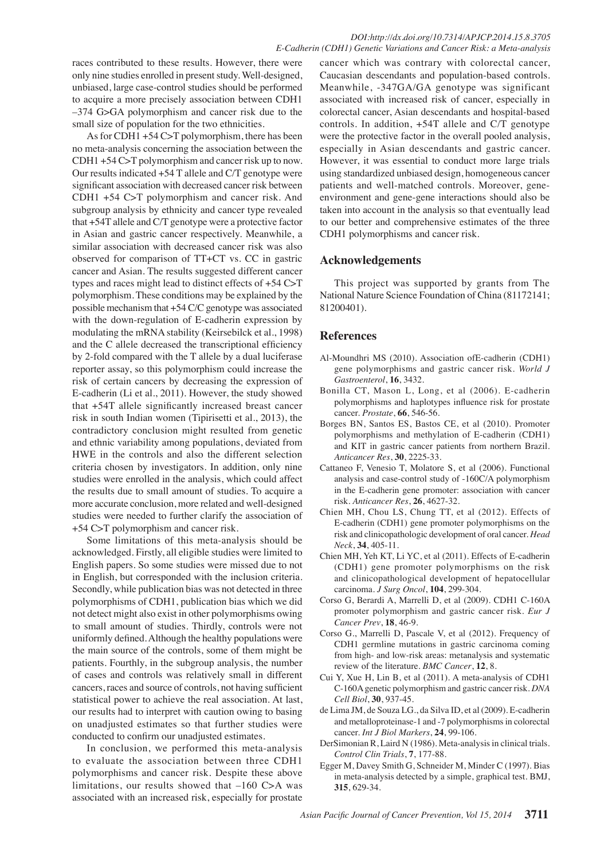races contributed to these results. However, there were only nine studies enrolled in present study. Well-designed, unbiased, large case-control studies should be performed to acquire a more precisely association between CDH1 –374 G>GA polymorphism and cancer risk due to the small size of population for the two ethnicities.

As for CDH1 +54 C>T polymorphism, there has been no meta-analysis concerning the association between the CDH1 +54 C>T polymorphism and cancer risk up to now. Our results indicated +54 T allele and C/T genotype were significant association with decreased cancer risk between CDH1 +54 C>T polymorphism and cancer risk. And subgroup analysis by ethnicity and cancer type revealed that +54T allele and C/T genotype were a protective factor in Asian and gastric cancer respectively. Meanwhile, a similar association with decreased cancer risk was also observed for comparison of TT+CT vs. CC in gastric cancer and Asian. The results suggested different cancer types and races might lead to distinct effects of +54 C>T polymorphism. These conditions may be explained by the possible mechanism that +54 C/C genotype was associated with the down-regulation of E-cadherin expression by modulating the mRNA stability (Keirsebilck et al., 1998) and the C allele decreased the transcriptional efficiency by 2-fold compared with the T allele by a dual luciferase reporter assay, so this polymorphism could increase the risk of certain cancers by decreasing the expression of E-cadherin (Li et al., 2011). However, the study showed that +54T allele significantly increased breast cancer risk in south Indian women (Tipirisetti et al., 2013), the contradictory conclusion might resulted from genetic and ethnic variability among populations, deviated from HWE in the controls and also the different selection criteria chosen by investigators. In addition, only nine studies were enrolled in the analysis, which could affect the results due to small amount of studies. To acquire a more accurate conclusion, more related and well-designed studies were needed to further clarify the association of +54 C>T polymorphism and cancer risk.

Some limitations of this meta-analysis should be acknowledged. Firstly, all eligible studies were limited to English papers. So some studies were missed due to not in English, but corresponded with the inclusion criteria. Secondly, while publication bias was not detected in three polymorphisms of CDH1, publication bias which we did not detect might also exist in other polymorphisms owing to small amount of studies. Thirdly, controls were not uniformly defined. Although the healthy populations were the main source of the controls, some of them might be patients. Fourthly, in the subgroup analysis, the number of cases and controls was relatively small in different cancers, races and source of controls, not having sufficient statistical power to achieve the real association. At last, our results had to interpret with caution owing to basing on unadjusted estimates so that further studies were conducted to confirm our unadjusted estimates.

In conclusion, we performed this meta-analysis to evaluate the association between three CDH1 polymorphisms and cancer risk. Despite these above limitations, our results showed that –160 C>A was associated with an increased risk, especially for prostate

cancer which was contrary with colorectal cancer, Caucasian descendants and population-based controls. Meanwhile, -347GA/GA genotype was significant associated with increased risk of cancer, especially in colorectal cancer, Asian descendants and hospital-based controls. In addition, +54T allele and C/T genotype were the protective factor in the overall pooled analysis, especially in Asian descendants and gastric cancer. However, it was essential to conduct more large trials using standardized unbiased design, homogeneous cancer patients and well-matched controls. Moreover, geneenvironment and gene-gene interactions should also be taken into account in the analysis so that eventually lead to our better and comprehensive estimates of the three CDH1 polymorphisms and cancer risk.

## **Acknowledgements**

This project was supported by grants from The National Nature Science Foundation of China (81172141; 81200401).

## **References**

- Al-Moundhri MS (2010). Association ofE-cadherin (CDH1) gene polymorphisms and gastric cancer risk. *World J Gastroenterol*, **16**, 3432.
- Bonilla CT, Mason L, Long, et al (2006). E-cadherin polymorphisms and haplotypes influence risk for prostate cancer. *Prostate*, **66**, 546-56.
- Borges BN, Santos ES, Bastos CE, et al (2010). Promoter polymorphisms and methylation of E-cadherin (CDH1) and KIT in gastric cancer patients from northern Brazil. *Anticancer Res*, **30**, 2225-33.
- Cattaneo F, Venesio T, Molatore S, et al (2006). Functional analysis and case-control study of -160C/A polymorphism in the E-cadherin gene promoter: association with cancer risk. *Anticancer Res*, **26**, 4627-32.
- Chien MH, Chou LS, Chung TT, et al (2012). Effects of E-cadherin (CDH1) gene promoter polymorphisms on the risk and clinicopathologic development of oral cancer. *Head Neck*, **34**, 405-11.
- Chien MH, Yeh KT, Li YC, et al (2011). Effects of E-cadherin (CDH1) gene promoter polymorphisms on the risk and clinicopathological development of hepatocellular carcinoma. *J Surg Oncol*, **104**, 299-304.
- Corso G, Berardi A, Marrelli D, et al (2009). CDH1 C-160A promoter polymorphism and gastric cancer risk. *Eur J Cancer Prev*, **18**, 46-9.
- Corso G., Marrelli D, Pascale V, et al (2012). Frequency of CDH1 germline mutations in gastric carcinoma coming from high- and low-risk areas: metanalysis and systematic review of the literature. *BMC Cancer*, **12**, 8.
- Cui Y, Xue H, Lin B, et al (2011). A meta-analysis of CDH1 C-160A genetic polymorphism and gastric cancer risk. *DNA Cell Biol*, **30**, 937-45.
- de Lima JM, de Souza LG., da Silva ID, et al (2009). E-cadherin and metalloproteinase-1 and -7 polymorphisms in colorectal cancer. *Int J Biol Markers*, **24**, 99-106.
- DerSimonian R, Laird N (1986). Meta-analysis in clinical trials. *Control Clin Trials*, **7**, 177-88.
- Egger M, Davey Smith G, Schneider M, Minder C (1997). Bias in meta-analysis detected by a simple, graphical test. BMJ, **315**, 629-34.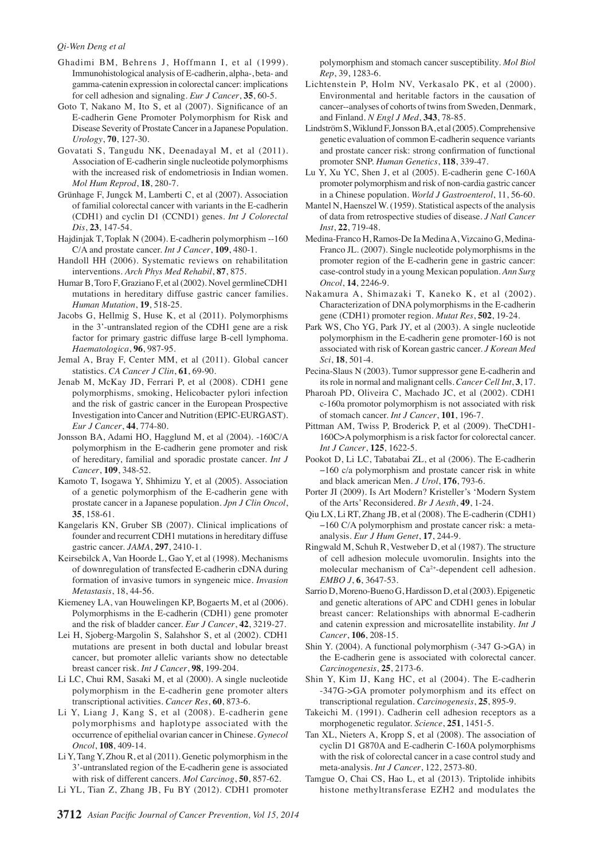#### *Qi-Wen Deng et al*

- Ghadimi BM, Behrens J, Hoffmann I, et al (1999). Immunohistological analysis of E-cadherin, alpha-, beta- and gamma-catenin expression in colorectal cancer: implications for cell adhesion and signaling. *Eur J Cancer*, **35**, 60-5.
- Goto T, Nakano M, Ito S, et al (2007). Significance of an E-cadherin Gene Promoter Polymorphism for Risk and Disease Severity of Prostate Cancer in a Japanese Population. *Urology*, **70**, 127-30.
- Govatati S, Tangudu NK, Deenadayal M, et al (2011). Association of E-cadherin single nucleotide polymorphisms with the increased risk of endometriosis in Indian women. *Mol Hum Reprod*, **18**, 280-7.
- Grünhage F, Jungck M, Lamberti C, et al (2007). Association of familial colorectal cancer with variants in the E-cadherin (CDH1) and cyclin D1 (CCND1) genes. *Int J Colorectal Dis*, **23**, 147-54.
- Hajdinjak T, Toplak N (2004). E-cadherin polymorphism --160 C/A and prostate cancer. *Int J Cancer*, **109**, 480-1.
- Handoll HH (2006). Systematic reviews on rehabilitation interventions. *Arch Phys Med Rehabil*, **87**, 875.
- Humar B, Toro F, Graziano F, et al (2002). Novel germlineCDH1 mutations in hereditary diffuse gastric cancer families. *Human Mutation*, **19**, 518-25.
- Jacobs G, Hellmig S, Huse K, et al (2011). Polymorphisms in the 3'-untranslated region of the CDH1 gene are a risk factor for primary gastric diffuse large B-cell lymphoma. *Haematologica*, **96**, 987-95.
- Jemal A, Bray F, Center MM, et al (2011). Global cancer statistics. *CA Cancer J Clin*, **61**, 69-90.
- Jenab M, McKay JD, Ferrari P, et al (2008). CDH1 gene polymorphisms, smoking, Helicobacter pylori infection and the risk of gastric cancer in the European Prospective Investigation into Cancer and Nutrition (EPIC-EURGAST). *Eur J Cancer*, **44**, 774-80.
- Jonsson BA, Adami HO, Hagglund M, et al (2004). -160C/A polymorphism in the E-cadherin gene promoter and risk of hereditary, familial and sporadic prostate cancer. *Int J Cancer*, **109**, 348-52.
- Kamoto T, Isogawa Y, Shhimizu Y, et al (2005). Association of a genetic polymorphism of the E-cadherin gene with prostate cancer in a Japanese population. *Jpn J Clin Oncol*, **35**, 158-61.
- Kangelaris KN, Gruber SB (2007). Clinical implications of founder and recurrent CDH1 mutations in hereditary diffuse gastric cancer. *JAMA*, **297**, 2410-1.
- Keirsebilck A, Van Hoorde L, Gao Y, et al (1998). Mechanisms of downregulation of transfected E-cadherin cDNA during formation of invasive tumors in syngeneic mice. *Invasion Metastasis*, 18, 44-56.
- Kiemeney LA, van Houwelingen KP, Bogaerts M, et al (2006). Polymorphisms in the E-cadherin (CDH1) gene promoter and the risk of bladder cancer. *Eur J Cancer*, **42**, 3219-27.
- Lei H, Sjoberg-Margolin S, Salahshor S, et al (2002). CDH1 mutations are present in both ductal and lobular breast cancer, but promoter allelic variants show no detectable breast cancer risk. *Int J Cancer*, **98**, 199-204.
- Li LC, Chui RM, Sasaki M, et al (2000). A single nucleotide polymorphism in the E-cadherin gene promoter alters transcriptional activities. *Cancer Res*, **60**, 873-6.
- Li Y, Liang J, Kang S, et al (2008). E-cadherin gene polymorphisms and haplotype associated with the occurrence of epithelial ovarian cancer in Chinese. *Gynecol Oncol*, **108**, 409-14.
- Li Y, Tang Y, Zhou R, et al (2011). Genetic polymorphism in the 3'-untranslated region of the E-cadherin gene is associated with risk of different cancers. *Mol Carcinog*, **50**, 857-62.
- Li YL, Tian Z, Zhang JB, Fu BY (2012). CDH1 promoter

polymorphism and stomach cancer susceptibility. *Mol Biol Rep*, 39, 1283-6.

- Lichtenstein P, Holm NV, Verkasalo PK, et al (2000). Environmental and heritable factors in the causation of cancer--analyses of cohorts of twins from Sweden, Denmark, and Finland. *N Engl J Med*, **343**, 78-85.
- Lindström S, Wiklund F, Jonsson BA, et al (2005). Comprehensive genetic evaluation of common E-cadherin sequence variants and prostate cancer risk: strong confirmation of functional promoter SNP. *Human Genetics*, **118**, 339-47.
- Lu Y, Xu YC, Shen J, et al (2005). E-cadherin gene C-160A promoter polymorphism and risk of non-cardia gastric cancer in a Chinese population. *World J Gastroenterol*, 11, 56-60.
- Mantel N, Haenszel W. (1959). Statistical aspects of the analysis of data from retrospective studies of disease. *J Natl Cancer Inst*, **22**, 719-48.
- Medina-Franco H, Ramos-De Ia Medina A, Vizcaino G, Medina-Franco JL. (2007). Single nucleotide polymorphisms in the promoter region of the E-cadherin gene in gastric cancer: case-control study in a young Mexican population. *Ann Surg Oncol*, **14**, 2246-9.
- Nakamura A, Shimazaki T, Kaneko K, et al (2002). Characterization of DNA polymorphisms in the E-cadherin gene (CDH1) promoter region. *Mutat Res*, **502**, 19-24.
- Park WS, Cho YG, Park JY, et al (2003). A single nucleotide polymorphism in the E-cadherin gene promoter-160 is not associated with risk of Korean gastric cancer. *J Korean Med Sci*, **18**, 501-4.
- Pecina-Slaus N (2003). Tumor suppressor gene E-cadherin and its role in normal and malignant cells. *Cancer Cell Int*, **3**, 17.
- Pharoah PD, Oliveira C, Machado JC, et al (2002). CDH1 c-160a promotor polymorphism is not associated with risk of stomach cancer. *Int J Cancer*, **101**, 196-7.
- Pittman AM, Twiss P, Broderick P, et al (2009). TheCDH1- 160C>A polymorphism is a risk factor for colorectal cancer. *Int J Cancer*, **125**, 1622-5.
- Pookot D, Li LC, Tabatabai ZL, et al (2006). The E-cadherin −160 c/a polymorphism and prostate cancer risk in white and black american Men. *J Urol*, **176**, 793-6.
- Porter JI (2009). Is Art Modern? Kristeller's 'Modern System of the Arts' Reconsidered. *Br J Aesth*, **49**, 1-24.
- Qiu LX, Li RT, Zhang JB, et al (2008). The E-cadherin (CDH1) −160 C/A polymorphism and prostate cancer risk: a metaanalysis. *Eur J Hum Genet*, **17**, 244-9.
- Ringwald M, Schuh R, Vestweber D, et al (1987). The structure of cell adhesion molecule uvomorulin. Insights into the molecular mechanism of Ca<sup>2+</sup>-dependent cell adhesion. *EMBO J*, **6**, 3647-53.
- Sarrio D, Moreno-Bueno G, Hardisson D, et al (2003). Epigenetic and genetic alterations of APC and CDH1 genes in lobular breast cancer: Relationships with abnormal E-cadherin and catenin expression and microsatellite instability. *Int J Cancer*, **106**, 208-15.
- Shin Y. (2004). A functional polymorphism (-347 G->GA) in the E-cadherin gene is associated with colorectal cancer. *Carcinogenesis*, **25**, 2173-6.
- Shin Y, Kim IJ, Kang HC, et al (2004). The E-cadherin -347G->GA promoter polymorphism and its effect on transcriptional regulation. *Carcinogenesis*, **25**, 895-9.
- Takeichi M. (1991). Cadherin cell adhesion receptors as a morphogenetic regulator. *Science*, **251**, 1451-5.
- Tan XL, Nieters A, Kropp S, et al (2008). The association of cyclin D1 G870A and E-cadherin C-160A polymorphisms with the risk of colorectal cancer in a case control study and meta-analysis. *Int J Cancer*, 122, 2573-80.
- Tamgue O, Chai CS, Hao L, et al (2013). Triptolide inhibits histone methyltransferase EZH2 and modulates the